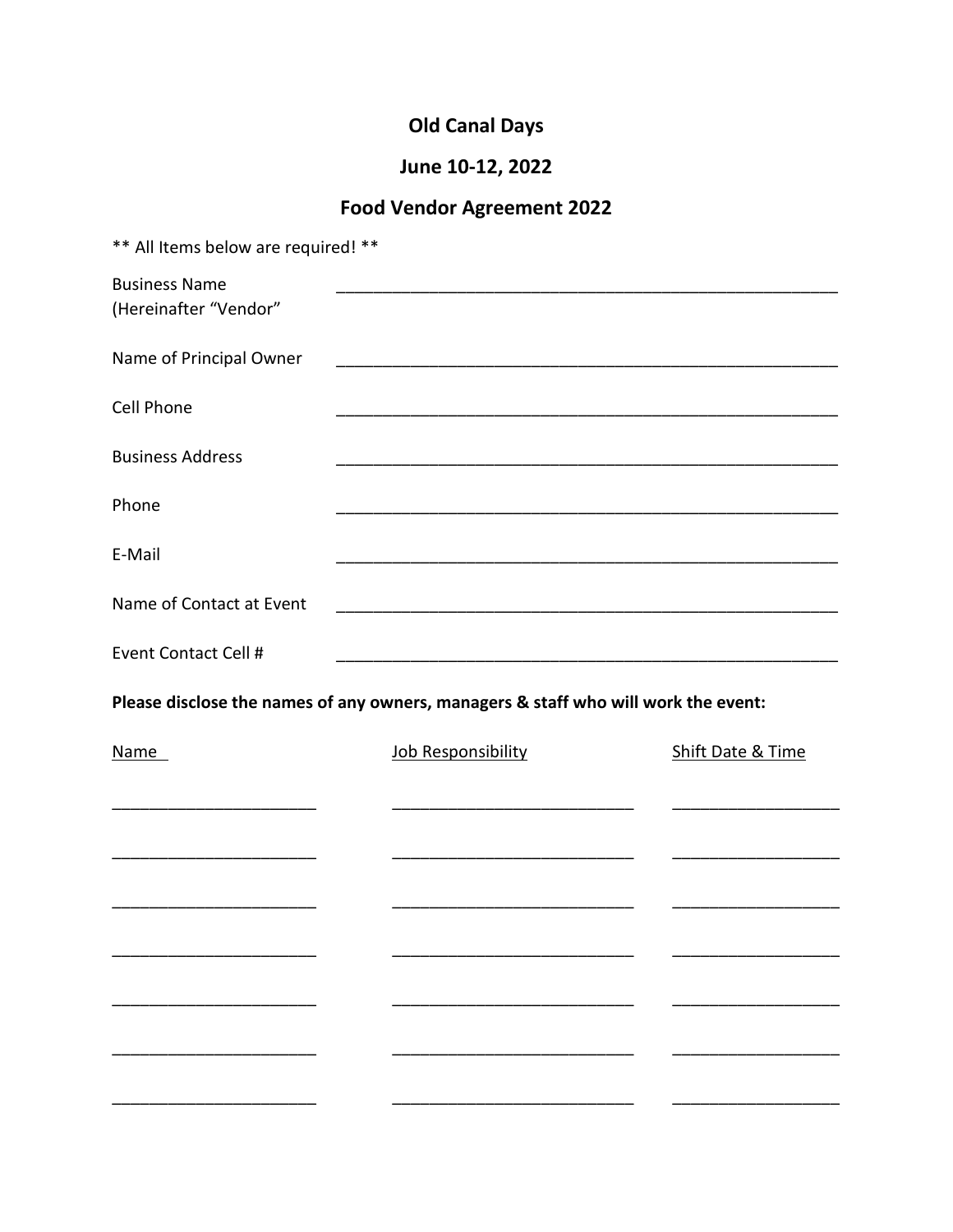# **Old Canal Days**

# June 10-12, 2022

# Food Vendor Agreement 2022

| ** All Items below are required! **           |                                                                                    |                   |
|-----------------------------------------------|------------------------------------------------------------------------------------|-------------------|
| <b>Business Name</b><br>(Hereinafter "Vendor" |                                                                                    |                   |
| Name of Principal Owner                       |                                                                                    |                   |
| Cell Phone                                    |                                                                                    |                   |
| <b>Business Address</b>                       | <u> 1980 - Jan Barbara, margaretar amerikana (h. 1980).</u>                        |                   |
| Phone                                         |                                                                                    |                   |
| E-Mail                                        |                                                                                    |                   |
| Name of Contact at Event                      |                                                                                    |                   |
| Event Contact Cell #                          |                                                                                    |                   |
|                                               | Please disclose the names of any owners, managers & staff who will work the event: |                   |
| Name                                          | Job Responsibility                                                                 | Shift Date & Time |
|                                               |                                                                                    |                   |
|                                               |                                                                                    |                   |
|                                               |                                                                                    |                   |
|                                               |                                                                                    |                   |
|                                               |                                                                                    |                   |
|                                               |                                                                                    |                   |
|                                               |                                                                                    |                   |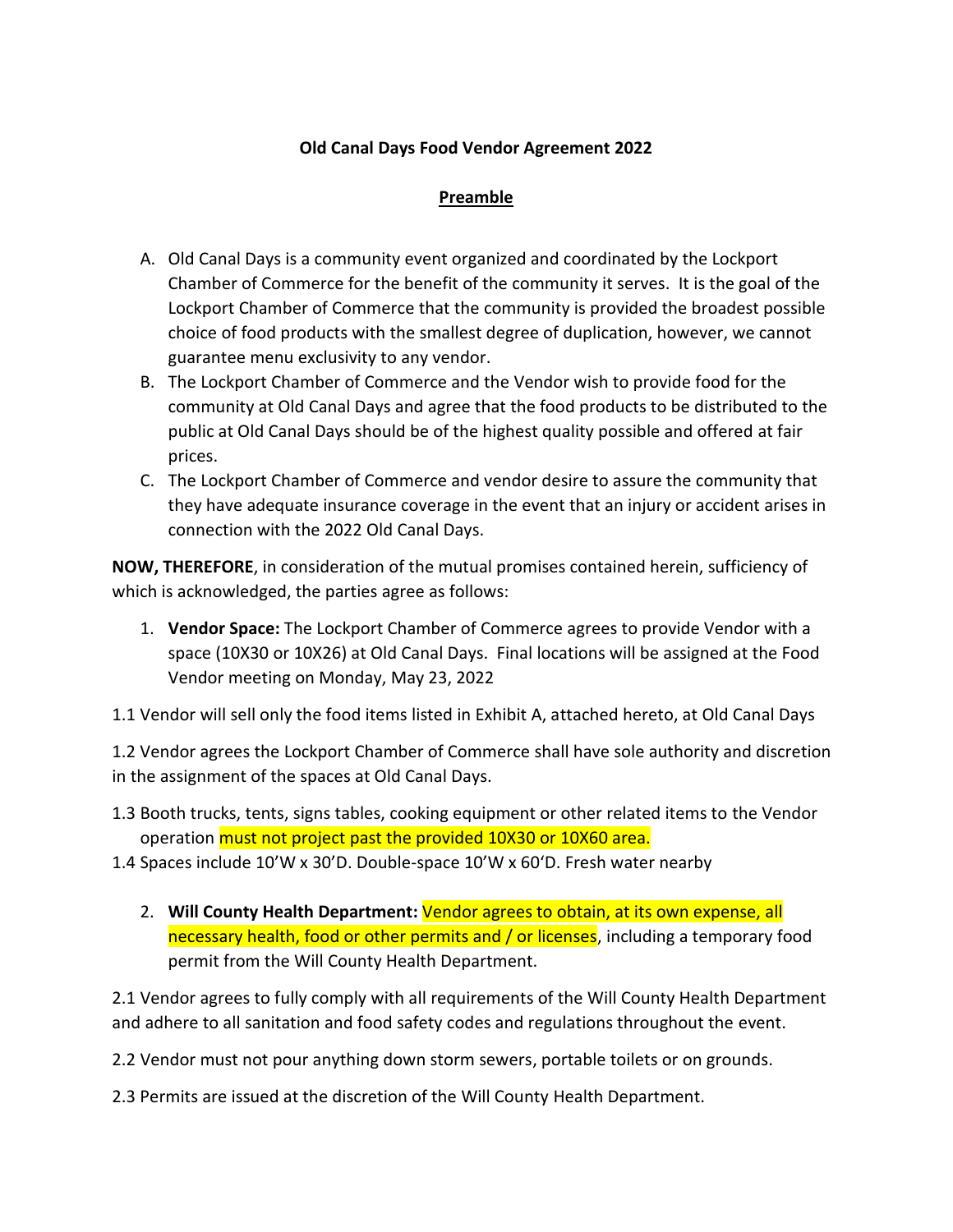### **Old Canal Days Food Vendor Agreement 2022**

#### **Preamble**

- A. Old Canal Days is a community event organized and coordinated by the Lockport Chamber of Commerce for the benefit of the community it serves. It is the goal of the Lockport Chamber of Commerce that the community is provided the broadest possible choice of food products with the smallest degree of duplication, however, we cannot guarantee menu exclusivity to any vendor.
- B. The Lockport Chamber of Commerce and the Vendor wish to provide food for the community at Old Canal Days and agree that the food products to be distributed to the public at Old Canal Days should be of the highest quality possible and offered at fair prices.
- C. The Lockport Chamber of Commerce and vendor desire to assure the community that they have adequate insurance coverage in the event that an injury or accident arises in connection with the 2022 Old Canal Days.

**NOW, THEREFORE**, in consideration of the mutual promises contained herein, sufficiency of which is acknowledged, the parties agree as follows:

1. **Vendor Space:** The Lockport Chamber of Commerce agrees to provide Vendor with a space (10X30 or 10X26) at Old Canal Days. Final locations will be assigned at the Food Vendor meeting on Monday, May 23, 2022

1.1 Vendor will sell only the food items listed in Exhibit A, attached hereto, at Old Canal Days

1.2 Vendor agrees the Lockport Chamber of Commerce shall have sole authority and discretion in the assignment of the spaces at Old Canal Days.

1.3 Booth trucks, tents, signs tables, cooking equipment or other related items to the Vendor operation must not project past the provided 10X30 or 10X60 area.

1.4 Spaces include 10'W x 30'D. Double-space 10'W x 60'D. Fresh water nearby

2. **Will County Health Department:** Vendor agrees to obtain, at its own expense, all necessary health, food or other permits and / or licenses, including a temporary food permit from the Will County Health Department.

2.1 Vendor agrees to fully comply with all requirements of the Will County Health Department and adhere to all sanitation and food safety codes and regulations throughout the event.

2.2 Vendor must not pour anything down storm sewers, portable toilets or on grounds.

2.3 Permits are issued at the discretion of the Will County Health Department.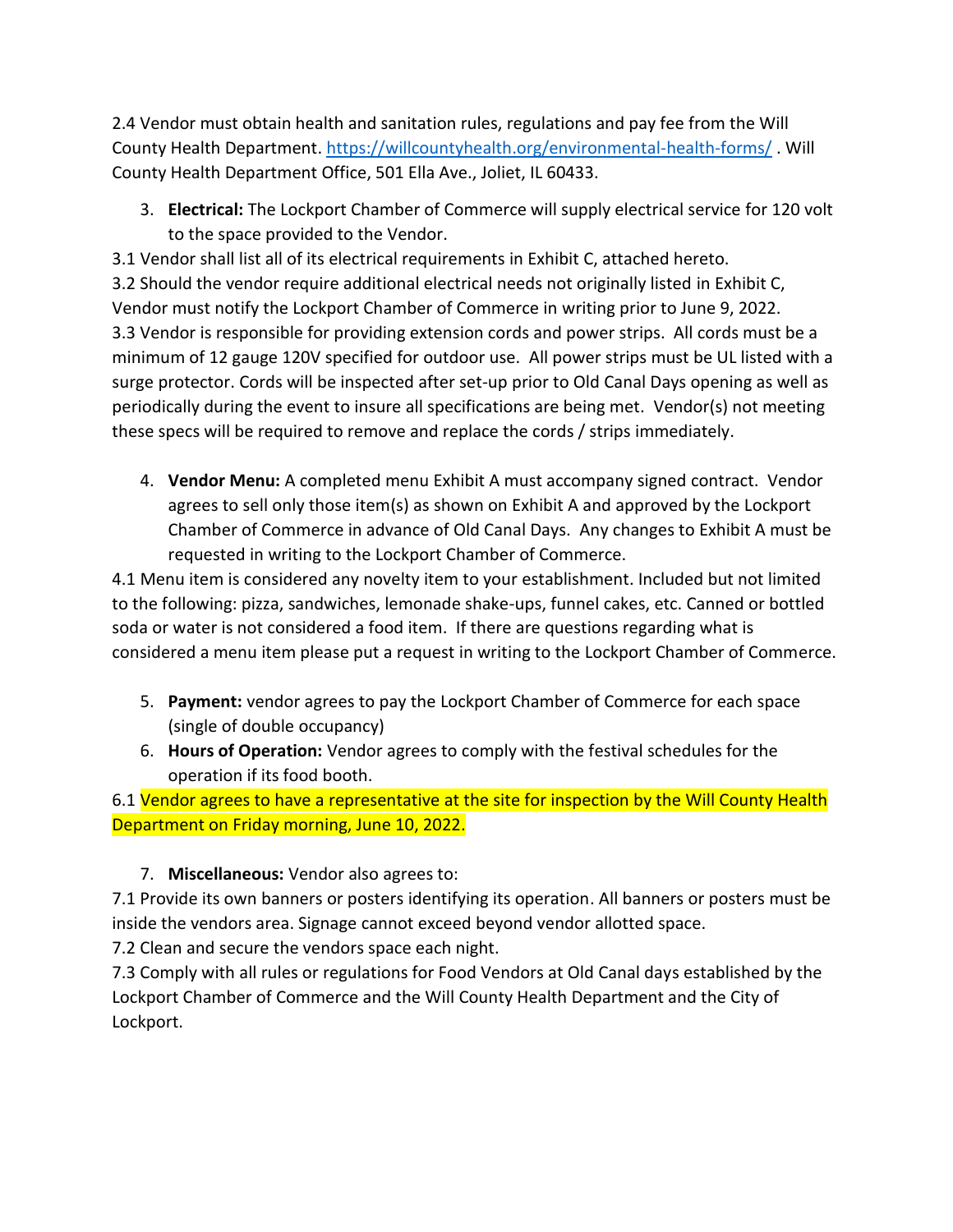2.4 Vendor must obtain health and sanitation rules, regulations and pay fee from the Will County Health Department[. https://willcountyhealth.org/environmental-health-forms/](https://willcountyhealth.org/environmental-health-forms/) . Will County Health Department Office, 501 Ella Ave., Joliet, IL 60433.

3. **Electrical:** The Lockport Chamber of Commerce will supply electrical service for 120 volt to the space provided to the Vendor.

3.1 Vendor shall list all of its electrical requirements in Exhibit C, attached hereto. 3.2 Should the vendor require additional electrical needs not originally listed in Exhibit C, Vendor must notify the Lockport Chamber of Commerce in writing prior to June 9, 2022. 3.3 Vendor is responsible for providing extension cords and power strips. All cords must be a minimum of 12 gauge 120V specified for outdoor use. All power strips must be UL listed with a surge protector. Cords will be inspected after set-up prior to Old Canal Days opening as well as periodically during the event to insure all specifications are being met. Vendor(s) not meeting these specs will be required to remove and replace the cords / strips immediately.

4. **Vendor Menu:** A completed menu Exhibit A must accompany signed contract. Vendor agrees to sell only those item(s) as shown on Exhibit A and approved by the Lockport Chamber of Commerce in advance of Old Canal Days. Any changes to Exhibit A must be requested in writing to the Lockport Chamber of Commerce.

4.1 Menu item is considered any novelty item to your establishment. Included but not limited to the following: pizza, sandwiches, lemonade shake-ups, funnel cakes, etc. Canned or bottled soda or water is not considered a food item. If there are questions regarding what is considered a menu item please put a request in writing to the Lockport Chamber of Commerce.

- 5. **Payment:** vendor agrees to pay the Lockport Chamber of Commerce for each space (single of double occupancy)
- 6. **Hours of Operation:** Vendor agrees to comply with the festival schedules for the operation if its food booth.

6.1 Vendor agrees to have a representative at the site for inspection by the Will County Health Department on Friday morning, June 10, 2022.

## 7. **Miscellaneous:** Vendor also agrees to:

7.1 Provide its own banners or posters identifying its operation. All banners or posters must be inside the vendors area. Signage cannot exceed beyond vendor allotted space.

7.2 Clean and secure the vendors space each night.

7.3 Comply with all rules or regulations for Food Vendors at Old Canal days established by the Lockport Chamber of Commerce and the Will County Health Department and the City of Lockport.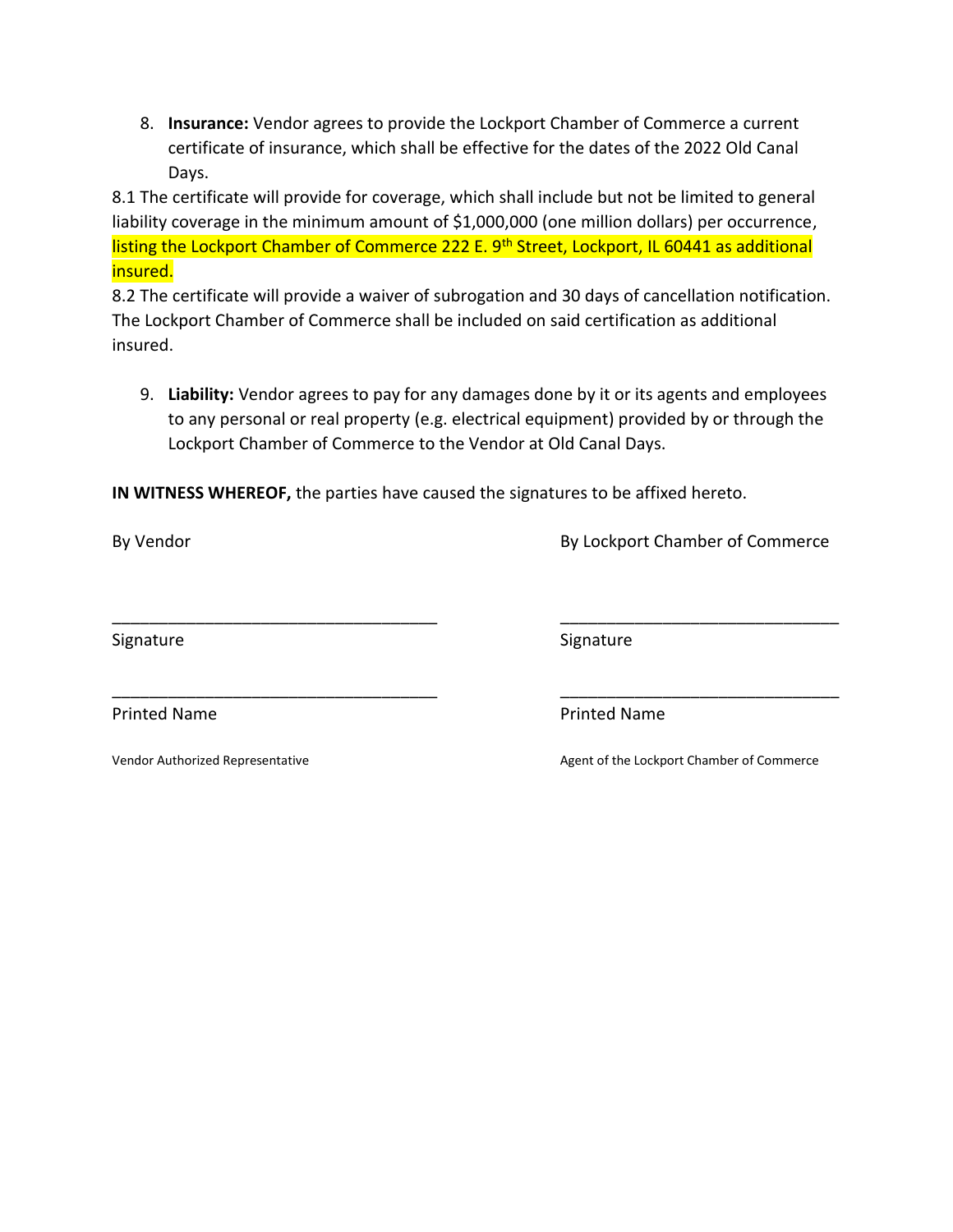8. **Insurance:** Vendor agrees to provide the Lockport Chamber of Commerce a current certificate of insurance, which shall be effective for the dates of the 2022 Old Canal Days.

8.1 The certificate will provide for coverage, which shall include but not be limited to general liability coverage in the minimum amount of \$1,000,000 (one million dollars) per occurrence, listing the Lockport Chamber of Commerce 222 E. 9<sup>th</sup> Street, Lockport, IL 60441 as additional insured.

8.2 The certificate will provide a waiver of subrogation and 30 days of cancellation notification. The Lockport Chamber of Commerce shall be included on said certification as additional insured.

9. **Liability:** Vendor agrees to pay for any damages done by it or its agents and employees to any personal or real property (e.g. electrical equipment) provided by or through the Lockport Chamber of Commerce to the Vendor at Old Canal Days.

\_\_\_\_\_\_\_\_\_\_\_\_\_\_\_\_\_\_\_\_\_\_\_\_\_\_\_\_\_\_\_\_\_\_\_ \_\_\_\_\_\_\_\_\_\_\_\_\_\_\_\_\_\_\_\_\_\_\_\_\_\_\_\_\_\_

**IN WITNESS WHEREOF,** the parties have caused the signatures to be affixed hereto.

By Vendor **By Lockport Chamber of Commerce** 

Signature Signature Signature Signature Signature Signature

\_\_\_\_\_\_\_\_\_\_\_\_\_\_\_\_\_\_\_\_\_\_\_\_\_\_\_\_\_\_\_\_\_\_\_ \_\_\_\_\_\_\_\_\_\_\_\_\_\_\_\_\_\_\_\_\_\_\_\_\_\_\_\_\_\_

Printed Name **Printed Name Printed Name** 

Vendor Authorized Representative Agent of the Lockport Chamber of Commerce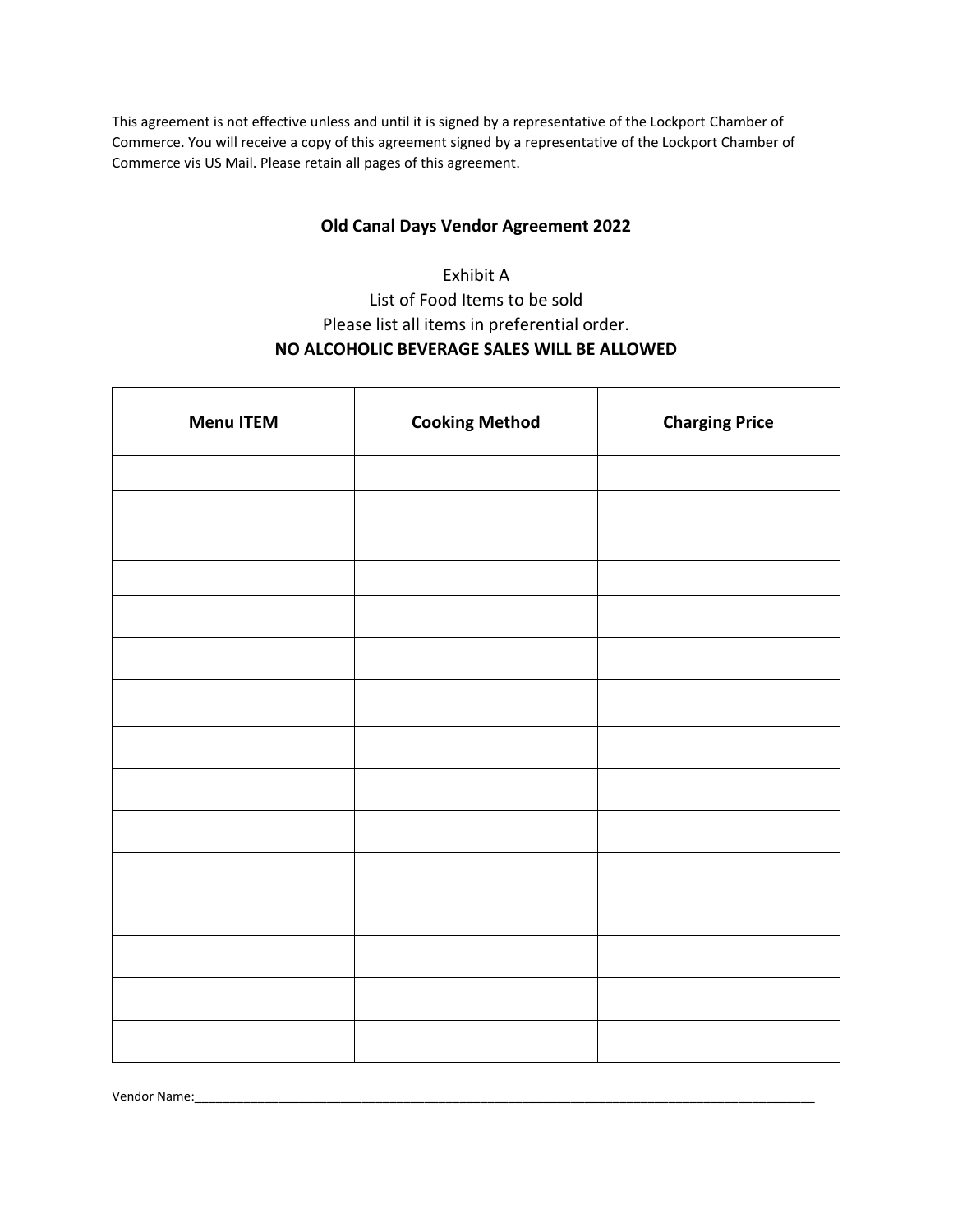This agreement is not effective unless and until it is signed by a representative of the Lockport Chamber of Commerce. You will receive a copy of this agreement signed by a representative of the Lockport Chamber of Commerce vis US Mail. Please retain all pages of this agreement.

#### **Old Canal Days Vendor Agreement 2022**

## Exhibit A List of Food Items to be sold Please list all items in preferential order. **NO ALCOHOLIC BEVERAGE SALES WILL BE ALLOWED**

| <b>Menu ITEM</b> | <b>Cooking Method</b> | <b>Charging Price</b> |
|------------------|-----------------------|-----------------------|
|                  |                       |                       |
|                  |                       |                       |
|                  |                       |                       |
|                  |                       |                       |
|                  |                       |                       |
|                  |                       |                       |
|                  |                       |                       |
|                  |                       |                       |
|                  |                       |                       |
|                  |                       |                       |
|                  |                       |                       |
|                  |                       |                       |
|                  |                       |                       |
|                  |                       |                       |
|                  |                       |                       |

Vendor Name: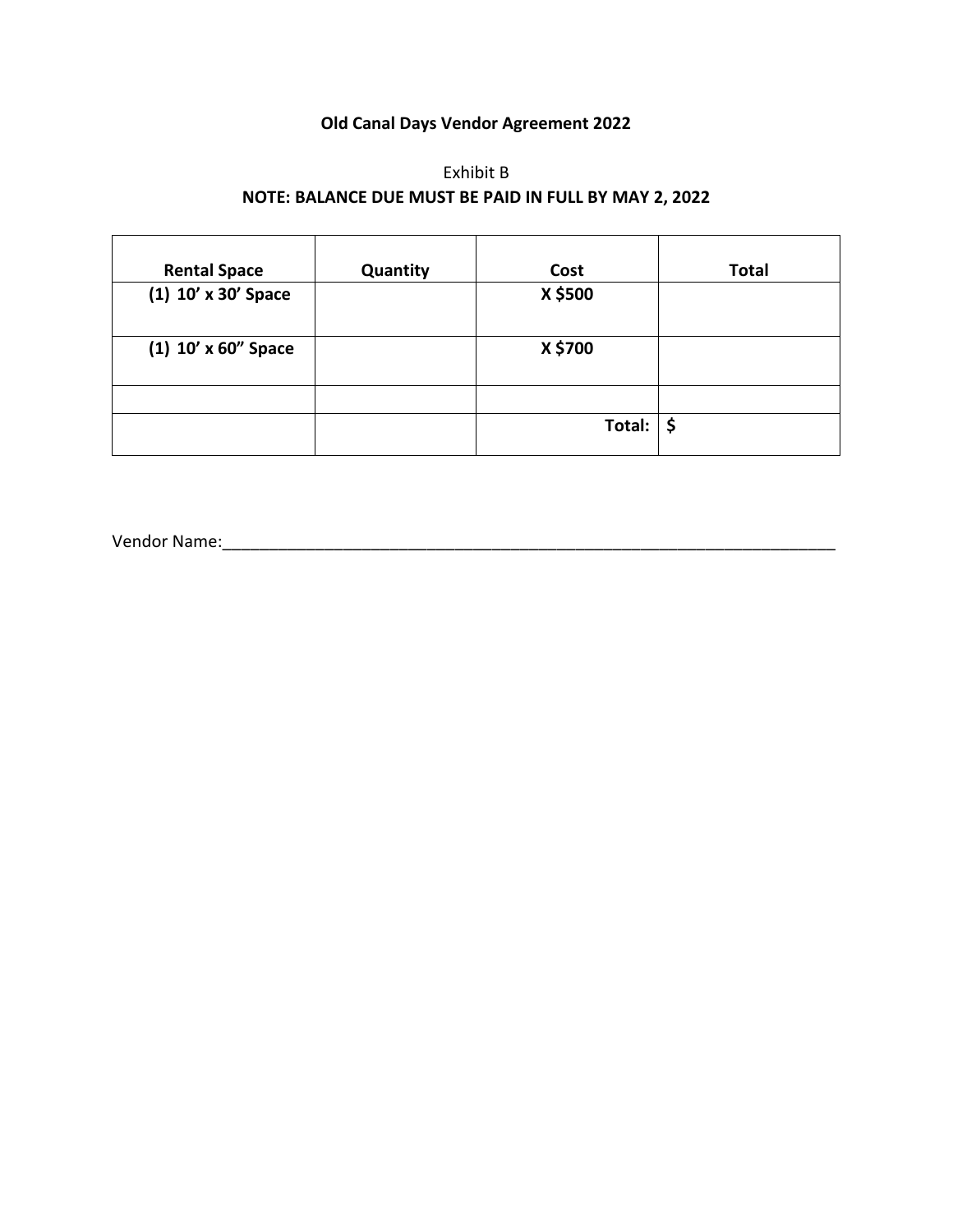### **Old Canal Days Vendor Agreement 2022**

### Exhibit B **NOTE: BALANCE DUE MUST BE PAID IN FULL BY MAY 2, 2022**

| <b>Rental Space</b>   | Quantity | Cost                            | <b>Total</b> |
|-----------------------|----------|---------------------------------|--------------|
| (1) 10' x 30' Space   |          | X \$500                         |              |
| $(1)$ 10' x 60" Space |          | X \$700                         |              |
|                       |          |                                 |              |
|                       |          | Total: $\vert \mathsf{S} \vert$ |              |

Vendor Name:\_\_\_\_\_\_\_\_\_\_\_\_\_\_\_\_\_\_\_\_\_\_\_\_\_\_\_\_\_\_\_\_\_\_\_\_\_\_\_\_\_\_\_\_\_\_\_\_\_\_\_\_\_\_\_\_\_\_\_\_\_\_\_\_\_\_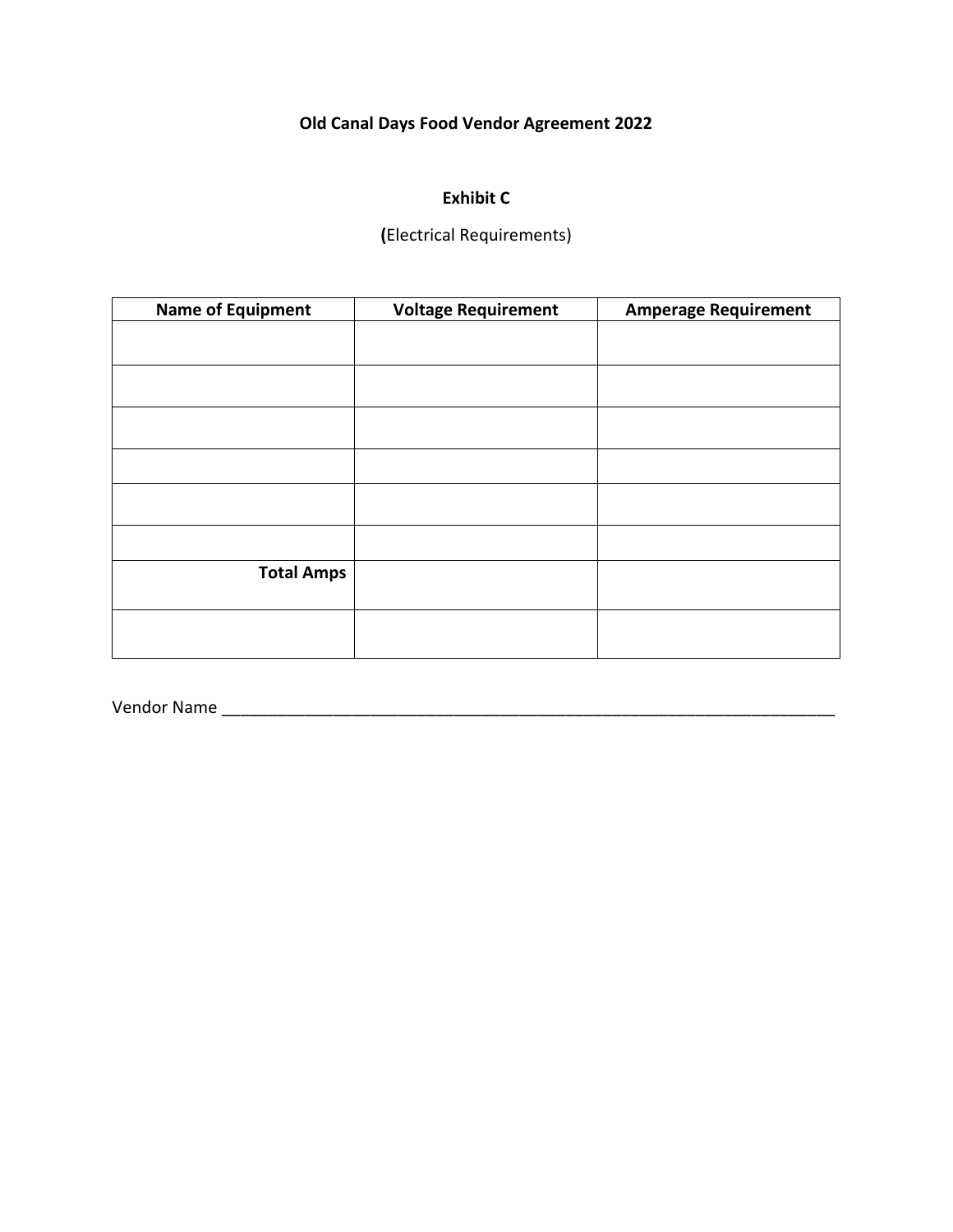## **Old Canal Days Food Vendor Agreement 2022**

### **Exhibit C**

**(**Electrical Requirements)

| <b>Name of Equipment</b> | <b>Voltage Requirement</b> | <b>Amperage Requirement</b> |
|--------------------------|----------------------------|-----------------------------|
|                          |                            |                             |
|                          |                            |                             |
|                          |                            |                             |
|                          |                            |                             |
|                          |                            |                             |
|                          |                            |                             |
|                          |                            |                             |
|                          |                            |                             |
|                          |                            |                             |
| <b>Total Amps</b>        |                            |                             |
|                          |                            |                             |
|                          |                            |                             |
|                          |                            |                             |

Vendor Name \_\_\_\_\_\_\_\_\_\_\_\_\_\_\_\_\_\_\_\_\_\_\_\_\_\_\_\_\_\_\_\_\_\_\_\_\_\_\_\_\_\_\_\_\_\_\_\_\_\_\_\_\_\_\_\_\_\_\_\_\_\_\_\_\_\_